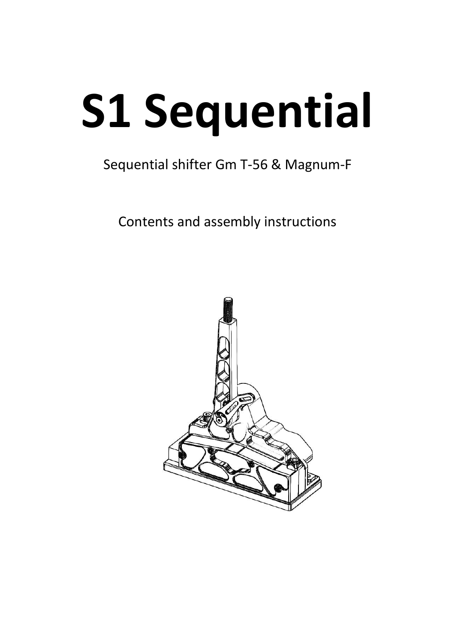# **S1 Sequential**

### Sequential shifter Gm T-56 & Magnum-F

Contents and assembly instructions

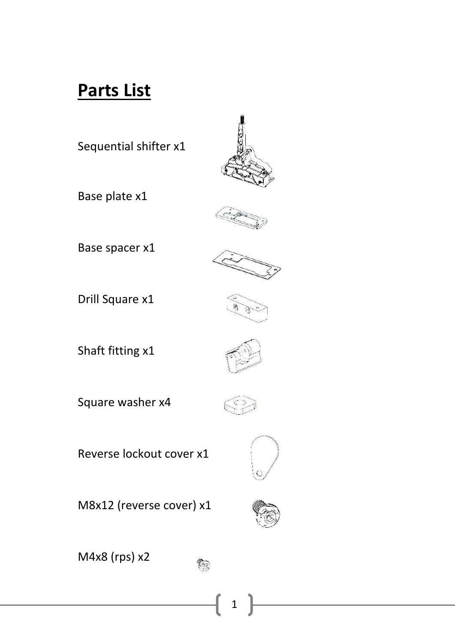### **Parts List**

Sequential shifter x1



Base plate x1



Base spacer x1



Drill Square x1



Shaft fitting x1



Square washer x4



Reverse lockout cover x1



M8x12 (reverse cover) x1



M4x8 (rps) x2



1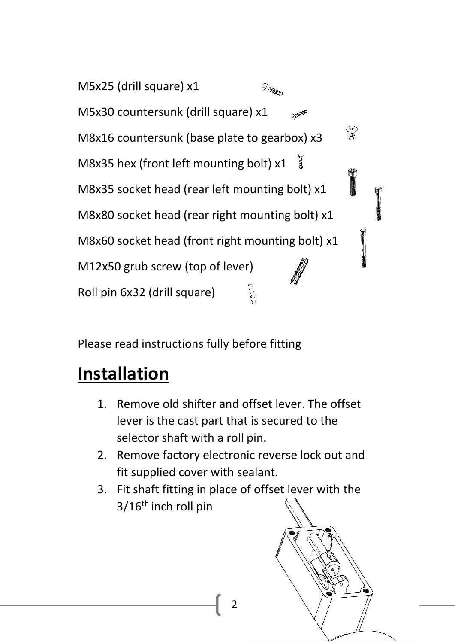M5x25 (drill square) x1  $\mathcal{Q}_{\mathcal{A}^{\text{top}}_{\text{top}}}$ M5x30 countersunk (drill square) x1  $\mathbb{R}$ M8x16 countersunk (base plate to gearbox) x3 M8x35 hex (front left mounting bolt) x1 M8x35 socket head (rear left mounting bolt) x1 M8x80 socket head (rear right mounting bolt) x1 M8x60 socket head (front right mounting bolt) x1 M12x50 grub screw (top of lever) Roll pin 6x32 (drill square)

Please read instructions fully before fitting

### **Installation**

- 1. Remove old shifter and offset lever. The offset lever is the cast part that is secured to the selector shaft with a roll pin.
- 2. Remove factory electronic reverse lock out and fit supplied cover with sealant.
- 3. Fit shaft fitting in place of offset lever with the  $3/16$ <sup>th</sup> inch roll pin



2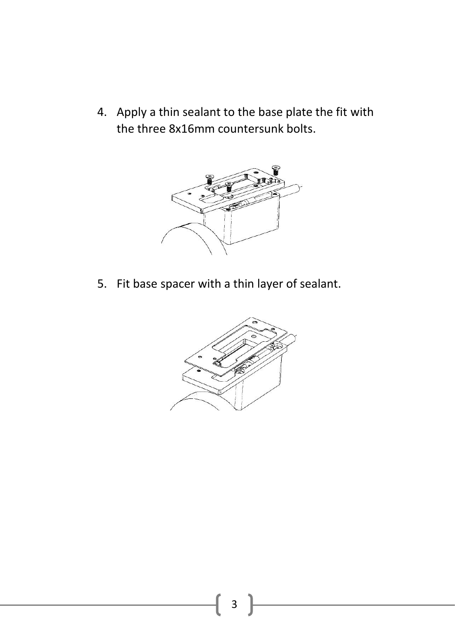4. Apply a thin sealant to the base plate the fit with the three 8x16mm countersunk bolts.



5. Fit base spacer with a thin layer of sealant.

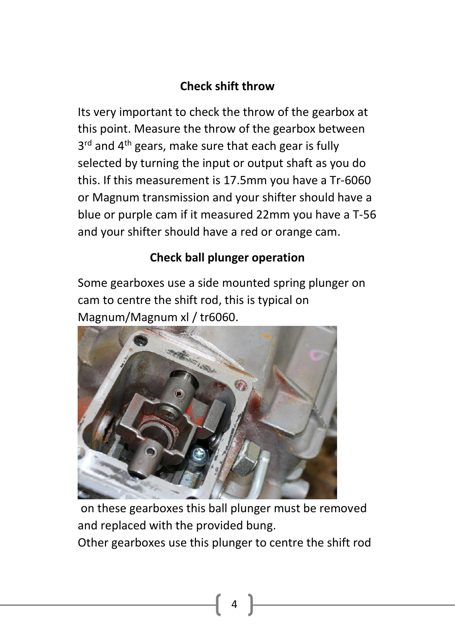### **Check shift throw**

Its very important to check the throw of the gearbox at this point. Measure the throw of the gearbox between 3<sup>rd</sup> and 4<sup>th</sup> gears, make sure that each gear is fully selected by turning the input or output shaft as you do this. If this measurement is 17.5mm you have a Tr-6060 or Magnum transmission and your shifter should have a blue or purple cam if it measured 22mm you have a T-56 and your shifter should have a red or orange cam.

#### **Check ball plunger operation**

Some gearboxes use a side mounted spring plunger on cam to centre the shift rod, this is typical on Magnum/Magnum xl / tr6060.



on these gearboxes this ball plunger must be removed and replaced with the provided bung. Other gearboxes use this plunger to centre the shift rod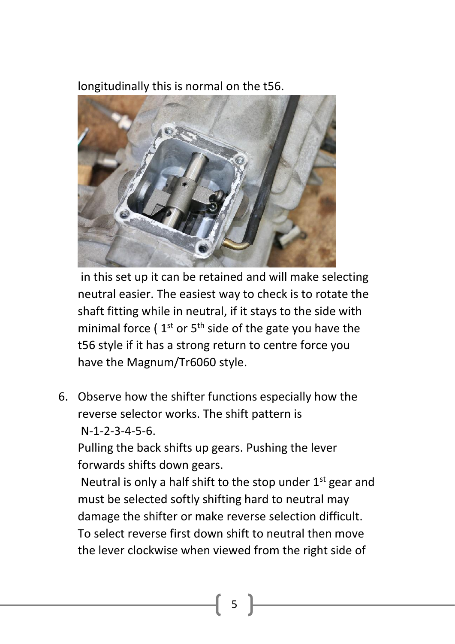longitudinally this is normal on the t56.



in this set up it can be retained and will make selecting neutral easier. The easiest way to check is to rotate the shaft fitting while in neutral, if it stays to the side with minimal force (  $1<sup>st</sup>$  or 5<sup>th</sup> side of the gate you have the t56 style if it has a strong return to centre force you have the Magnum/Tr6060 style.

6. Observe how the shifter functions especially how the reverse selector works. The shift pattern is N-1-2-3-4-5-6.

Pulling the back shifts up gears. Pushing the lever forwards shifts down gears.

Neutral is only a half shift to the stop under  $1<sup>st</sup>$  gear and must be selected softly shifting hard to neutral may damage the shifter or make reverse selection difficult. To select reverse first down shift to neutral then move the lever clockwise when viewed from the right side of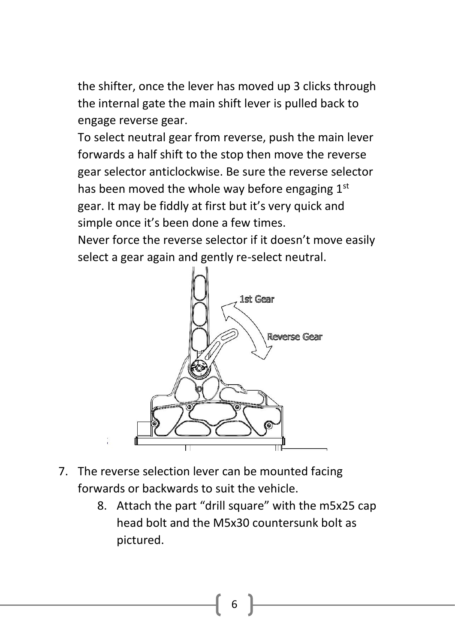the shifter, once the lever has moved up 3 clicks through the internal gate the main shift lever is pulled back to engage reverse gear.

To select neutral gear from reverse, push the main lever forwards a half shift to the stop then move the reverse gear selector anticlockwise. Be sure the reverse selector has been moved the whole way before engaging 1st gear. It may be fiddly at first but it's very quick and simple once it's been done a few times.

Never force the reverse selector if it doesn't move easily select a gear again and gently re-select neutral.



- 7. The reverse selection lever can be mounted facing forwards or backwards to suit the vehicle.
	- 8. Attach the part "drill square" with the m5x25 cap head bolt and the M5x30 countersunk bolt as pictured.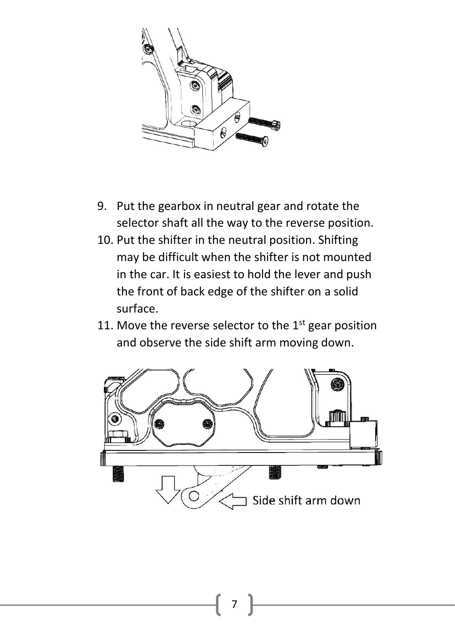

- 9. Put the gearbox in neutral gear and rotate the selector shaft all the way to the reverse position.
- 10. Put the shifter in the neutral position. Shifting may be difficult when the shifter is not mounted in the car. It is easiest to hold the lever and push the front of back edge of the shifter on a solid surface.
- 11. Move the reverse selector to the  $1<sup>st</sup>$  gear position and observe the side shift arm moving down.

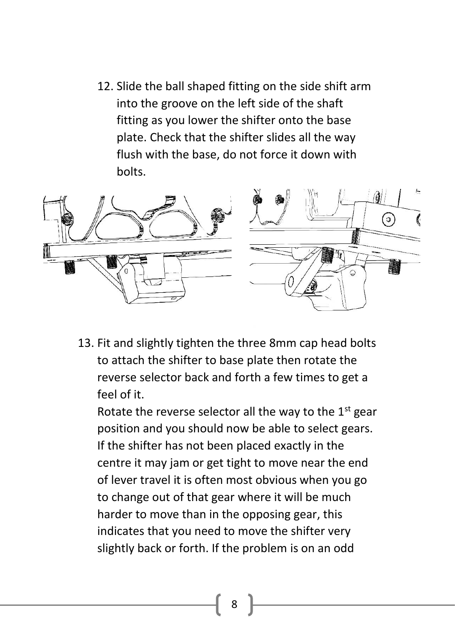12. Slide the ball shaped fitting on the side shift arm into the groove on the left side of the shaft fitting as you lower the shifter onto the base plate. Check that the shifter slides all the way flush with the base, do not force it down with bolts.



13. Fit and slightly tighten the three 8mm cap head bolts to attach the shifter to base plate then rotate the reverse selector back and forth a few times to get a feel of it.

Rotate the reverse selector all the way to the  $1<sup>st</sup>$  gear position and you should now be able to select gears. If the shifter has not been placed exactly in the centre it may jam or get tight to move near the end of lever travel it is often most obvious when you go to change out of that gear where it will be much harder to move than in the opposing gear, this indicates that you need to move the shifter very slightly back or forth. If the problem is on an odd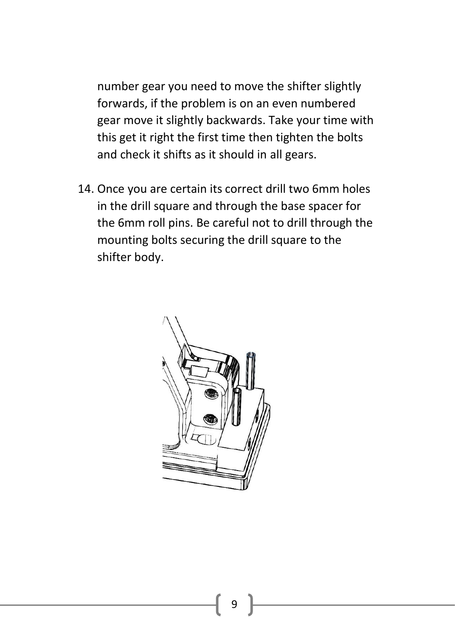number gear you need to move the shifter slightly forwards, if the problem is on an even numbered gear move it slightly backwards. Take your time with this get it right the first time then tighten the bolts and check it shifts as it should in all gears.

14. Once you are certain its correct drill two 6mm holes in the drill square and through the base spacer for the 6mm roll pins. Be careful not to drill through the mounting bolts securing the drill square to the shifter body.

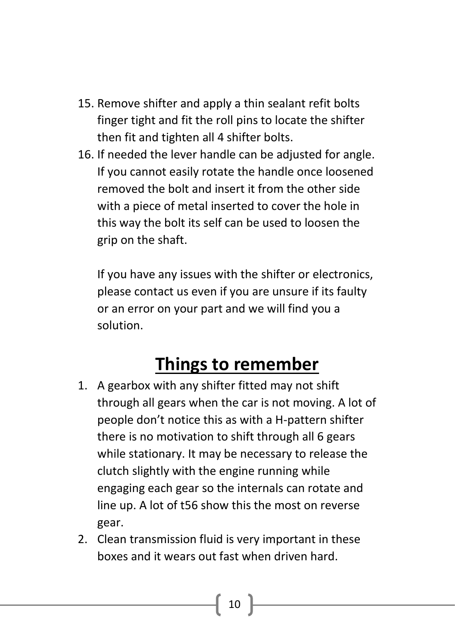- 15. Remove shifter and apply a thin sealant refit bolts finger tight and fit the roll pins to locate the shifter then fit and tighten all 4 shifter bolts.
- 16. If needed the lever handle can be adjusted for angle. If you cannot easily rotate the handle once loosened removed the bolt and insert it from the other side with a piece of metal inserted to cover the hole in this way the bolt its self can be used to loosen the grip on the shaft.

If you have any issues with the shifter or electronics, please contact us even if you are unsure if its faulty or an error on your part and we will find you a solution.

### **Things to remember**

- 1. A gearbox with any shifter fitted may not shift through all gears when the car is not moving. A lot of people don't notice this as with a H-pattern shifter there is no motivation to shift through all 6 gears while stationary. It may be necessary to release the clutch slightly with the engine running while engaging each gear so the internals can rotate and line up. A lot of t56 show this the most on reverse gear.
- 2. Clean transmission fluid is very important in these boxes and it wears out fast when driven hard.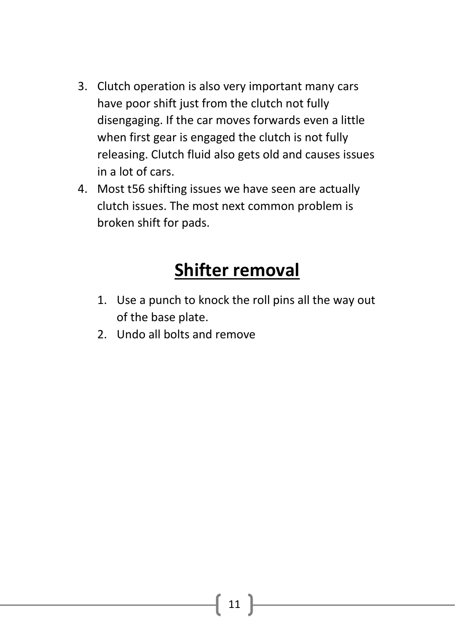- 3. Clutch operation is also very important many cars have poor shift just from the clutch not fully disengaging. If the car moves forwards even a little when first gear is engaged the clutch is not fully releasing. Clutch fluid also gets old and causes issues in a lot of cars.
- 4. Most t56 shifting issues we have seen are actually clutch issues. The most next common problem is broken shift for pads.

### **Shifter removal**

- 1. Use a punch to knock the roll pins all the way out of the base plate.
- 2. Undo all bolts and remove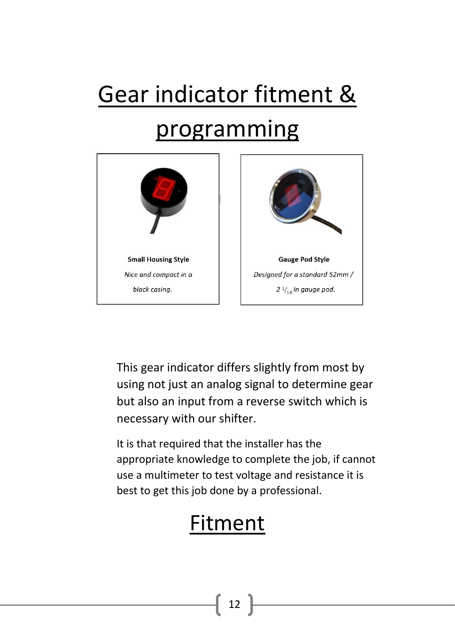# Gear indicator fitment & programming



This gear indicator differs slightly from most by using not just an analog signal to determine gear but also an input from a reverse switch which is necessary with our shifter.

It is that required that the installer has the appropriate knowledge to complete the job, if cannot use a multimeter to test voltage and resistance it is best to get this job done by a professional.

### Fitment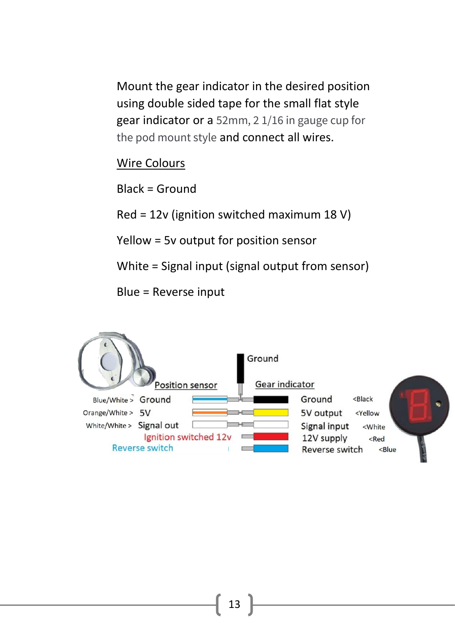Mount the gear indicator in the desired position using double sided tape for the small flat style gear indicator or a 52mm, 2 1/16 in gauge cup for the pod mount style and connect all wires.

#### Wire Colours

Black = Ground

Red = 12v (ignition switched maximum 18 V)

Yellow = 5v output for position sensor

White = Signal input (signal output from sensor)

Blue = Reverse input

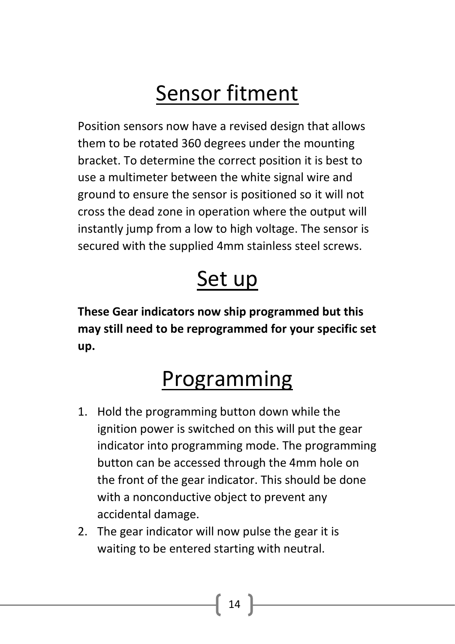# Sensor fitment

Position sensors now have a revised design that allows them to be rotated 360 degrees under the mounting bracket. To determine the correct position it is best to use a multimeter between the white signal wire and ground to ensure the sensor is positioned so it will not cross the dead zone in operation where the output will instantly jump from a low to high voltage. The sensor is secured with the supplied 4mm stainless steel screws.

### Set up

**These Gear indicators now ship programmed but this may still need to be reprogrammed for your specific set up.**

# Programming

- 1. Hold the programming button down while the ignition power is switched on this will put the gear indicator into programming mode. The programming button can be accessed through the 4mm hole on the front of the gear indicator. This should be done with a nonconductive object to prevent any accidental damage.
- 2. The gear indicator will now pulse the gear it is waiting to be entered starting with neutral.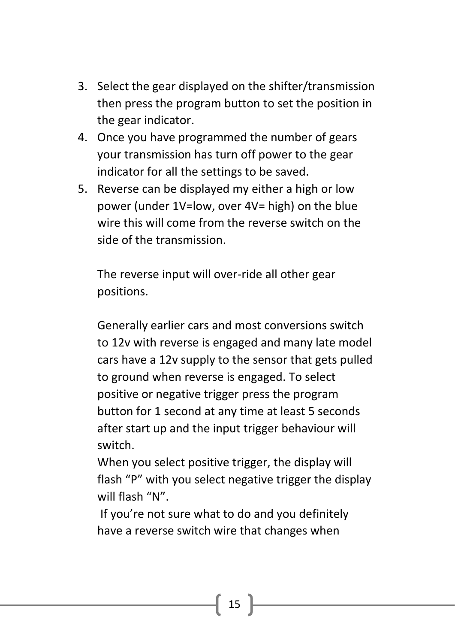- 3. Select the gear displayed on the shifter/transmission then press the program button to set the position in the gear indicator.
- 4. Once you have programmed the number of gears your transmission has turn off power to the gear indicator for all the settings to be saved.
- 5. Reverse can be displayed my either a high or low power (under 1V=low, over 4V= high) on the blue wire this will come from the reverse switch on the side of the transmission.

The reverse input will over-ride all other gear positions.

Generally earlier cars and most conversions switch to 12v with reverse is engaged and many late model cars have a 12v supply to the sensor that gets pulled to ground when reverse is engaged. To select positive or negative trigger press the program button for 1 second at any time at least 5 seconds after start up and the input trigger behaviour will switch.

When you select positive trigger, the display will flash "P" with you select negative trigger the display will flash "N".

If you're not sure what to do and you definitely have a reverse switch wire that changes when